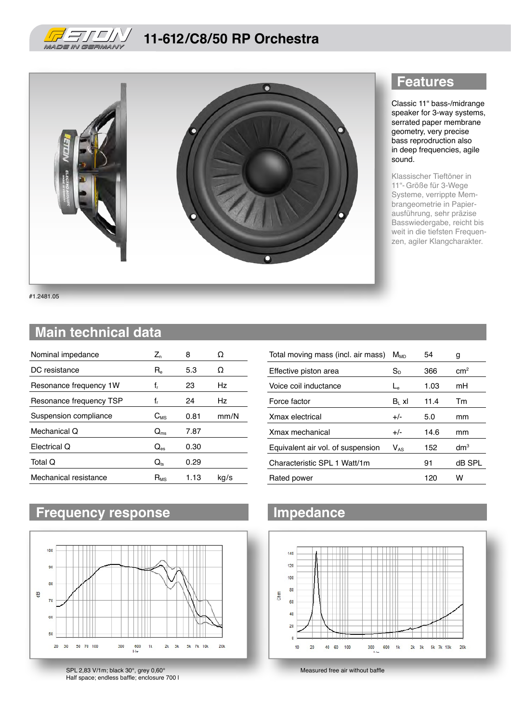

### **11-612/C8/50 RP Orchestra**



#1.2481.05

#### **Main technical data**

| Nominal impedance       | $Z_{n}$                  | 8    | O    |
|-------------------------|--------------------------|------|------|
| DC resistance           | $R_{\rm e}$              | 5.3  | Ω    |
| Resonance frequency 1W  | f,                       | 23   | Hz   |
| Resonance frequency TSP | f,                       | 24   | Hz.  |
| Suspension compliance   | $C_{MS}$                 | 0.81 | mm/N |
| Mechanical Q            | $Q_{\rm ms}$             | 7.87 |      |
| Electrical Q            | $Q_{\textrm{\tiny{BS}}}$ | 0.30 |      |
| Total Q                 | $Q_{ts}$                 | 0.29 |      |
| Mechanical resistance   | $R_{MS}$                 | 1.13 | kg/s |

### **Frequency response Impedance**



SPL 2,83 V/1m; black 30°, grey 0,60° Half space; endless baffle; enclosure 700 l

#### **Features**

Classic 11" bass-/midrange speaker for 3-way systems, serrated paper membrane geometry, very precise bass reprodruction also in deep frequencies, agile sound.

Klassischer Tieftöner in 11"- Größe für 3-Wege Systeme, verrippte Membrangeometrie in Papierausführung, sehr präzise Basswiedergabe, reicht bis weit in die tiefsten Frequenzen, agiler Klangcharakter.

| Total moving mass (incl. air mass) | Mмр      | 54   | g               |
|------------------------------------|----------|------|-----------------|
| Effective piston area              | $S_{D}$  | 366  | cm <sup>2</sup> |
| Voice coil inductance              | L        | 1.03 | mH              |
| Force factor                       | $B1$ xl  | 11.4 | Tm              |
| Xmax electrical                    | $+/-$    | 5.0  | mm              |
| Xmax mechanical                    | $+/-$    | 14.6 | mm              |
| Equivalent air vol. of suspension  | $V_{AS}$ | 152  | dm <sup>3</sup> |
| Characteristic SPL 1 Watt/1m       |          | 91   | dB SPL          |
| Rated power                        |          | 120  | w               |



Measured free air without baffle